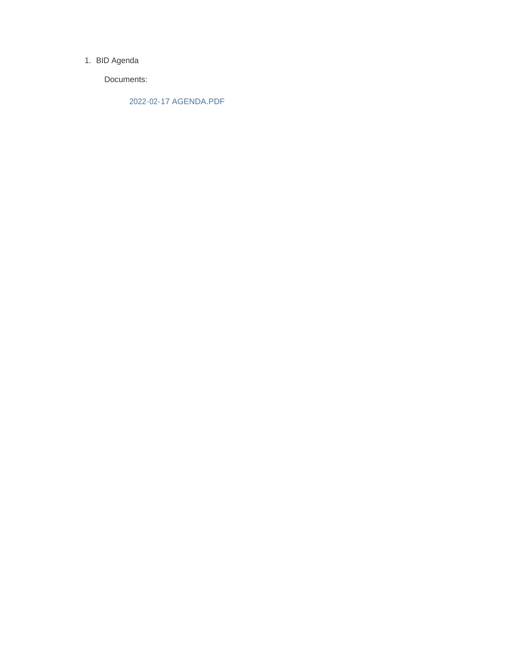#### 1. BID Agenda

Documents:

2022-02-17 AGENDA.PDF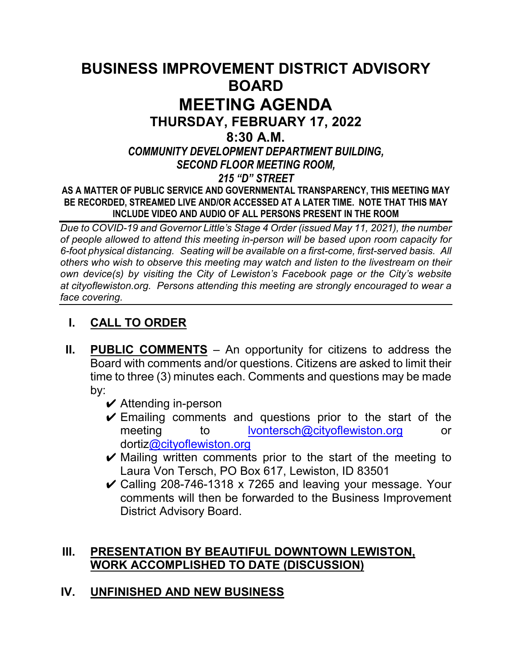# **BUSINESS IMPROVEMENT DISTRICT ADVISORY BOARD MEETING AGENDA THURSDAY, FEBRUARY 17, 2022 8:30 A.M.** *COMMUNITY DEVELOPMENT DEPARTMENT BUILDING, SECOND FLOOR MEETING ROOM, 215 "D" STREET* **AS A MATTER OF PUBLIC SERVICE AND GOVERNMENTAL TRANSPARENCY, THIS MEETING MAY BE RECORDED, STREAMED LIVE AND/OR ACCESSED AT A LATER TIME. NOTE THAT THIS MAY INCLUDE VIDEO AND AUDIO OF ALL PERSONS PRESENT IN THE ROOM**

*Due to COVID-19 and Governor Little's Stage 4 Order (issued May 11, 2021), the number of people allowed to attend this meeting in-person will be based upon room capacity for 6-foot physical distancing. Seating will be available on a first-come, first-served basis. All others who wish to observe this meeting may watch and listen to the livestream on their own device(s) by visiting the City of Lewiston's Facebook page or the City's website at cityoflewiston.org. Persons attending this meeting are strongly encouraged to wear a face covering.*

# **I. CALL TO ORDER**

- **II. PUBLIC COMMENTS** An opportunity for citizens to address the Board with comments and/or questions. Citizens are asked to limit their time to three (3) minutes each. Comments and questions may be made by:
	- $\vee$  Attending in-person
	- $\checkmark$  Emailing comments and questions prior to the start of the meeting to [lvontersch@cityoflewiston.org](mailto:lvontersch@cityoflewiston.org) or dorti[z@cityoflewiston.org](mailto:tbrocke@cityoflewiston.org)
	- $\vee$  Mailing written comments prior to the start of the meeting to Laura Von Tersch, PO Box 617, Lewiston, ID 83501
	- $\vee$  Calling 208-746-1318 x 7265 and leaving your message. Your comments will then be forwarded to the Business Improvement District Advisory Board.

## **III. PRESENTATION BY BEAUTIFUL DOWNTOWN LEWISTON, WORK ACCOMPLISHED TO DATE (DISCUSSION)**

# **IV. UNFINISHED AND NEW BUSINESS**